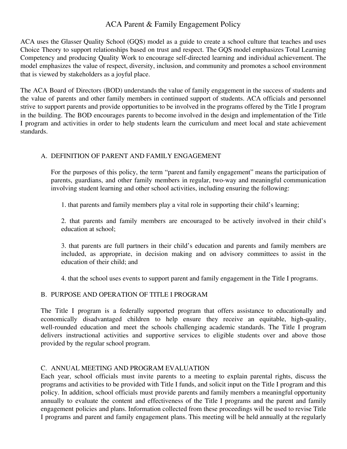# ACA Parent & Family Engagement Policy

ACA uses the Glasser Quality School (GQS) model as a guide to create a school culture that teaches and uses Choice Theory to support relationships based on trust and respect. The GQS model emphasizes Total Learning Competency and producing Quality Work to encourage self-directed learning and individual achievement. The model emphasizes the value of respect, diversity, inclusion, and community and promotes a school environment that is viewed by stakeholders as a joyful place.

The ACA Board of Directors (BOD) understands the value of family engagement in the success of students and the value of parents and other family members in continued support of students. ACA officials and personnel strive to support parents and provide opportunities to be involved in the programs offered by the Title I program in the building. The BOD encourages parents to become involved in the design and implementation of the Title I program and activities in order to help students learn the curriculum and meet local and state achievement standards.

### A. DEFINITION OF PARENT AND FAMILY ENGAGEMENT

For the purposes of this policy, the term "parent and family engagement" means the participation of parents, guardians, and other family members in regular, two-way and meaningful communication involving student learning and other school activities, including ensuring the following:

1. that parents and family members play a vital role in supporting their child's learning;

2. that parents and family members are encouraged to be actively involved in their child's education at school;

3. that parents are full partners in their child's education and parents and family members are included, as appropriate, in decision making and on advisory committees to assist in the education of their child; and

4. that the school uses events to support parent and family engagement in the Title I programs.

## B. PURPOSE AND OPERATION OF TITLE I PROGRAM

The Title I program is a federally supported program that offers assistance to educationally and economically disadvantaged children to help ensure they receive an equitable, high-quality, well-rounded education and meet the schools challenging academic standards. The Title I program delivers instructional activities and supportive services to eligible students over and above those provided by the regular school program.

#### C. ANNUAL MEETING AND PROGRAM EVALUATION

Each year, school officials must invite parents to a meeting to explain parental rights, discuss the programs and activities to be provided with Title I funds, and solicit input on the Title I program and this policy. In addition, school officials must provide parents and family members a meaningful opportunity annually to evaluate the content and effectiveness of the Title I programs and the parent and family engagement policies and plans. Information collected from these proceedings will be used to revise Title I programs and parent and family engagement plans. This meeting will be held annually at the regularly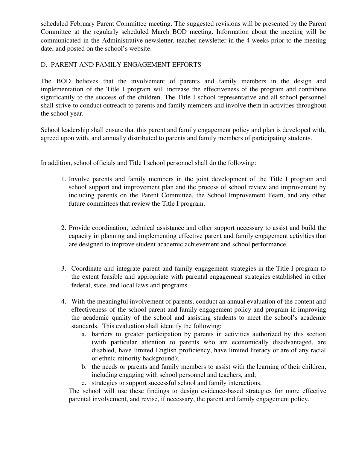scheduled February Parent Committee meeting. The suggested revisions will be presented by the Parent Committee at the regularly scheduled March BOD meeting. Information about the meeting will be communicated in the Administrative newsletter, teacher newsletter in the 4 weeks prior to the meeting date, and posted on the school's website.

#### D. PARENT AND FAMILY ENGAGEMENT EFFORTS

The BOD believes that the involvement of parents and family members in the design and implementation of the Title I program will increase the effectiveness of the program and contribute significantly to the success of the children. The Title I school representative and all school personnel shall strive to conduct outreach to parents and family members and involve them in activities throughout the school year.

School leadership shall ensure that this parent and family engagement policy and plan is developed with, agreed upon with, and annually distributed to parents and family members of participating students.

In addition, school officials and Title I school personnel shall do the following:

- 1. Involve parents and family members in the joint development of the Title I program and school support and improvement plan and the process of school review and improvement by including parents on the Parent Committee, the School Improvement Team, and any other future committees that review the Title I program.
- 2. Provide coordination, technical assistance and other support necessary to assist and build the capacity in planning and implementing effective parent and family engagement activities that are designed to improve student academic achievement and school performance.
- 3. Coordinate and integrate parent and family engagement strategies in the Title I program to the extent feasible and appropriate with parental engagement strategies established in other federal, state, and local laws and programs.
- 4. With the meaningful involvement of parents, conduct an annual evaluation of the content and effectiveness of the school parent and family engagement policy and program in improving the academic quality of the school and assisting students to meet the school's academic standards. This evaluation shall identify the following:
	- a. barriers to greater participation by parents in activities authorized by this section (with particular attention to parents who are economically disadvantaged, are disabled, have limited English proficiency, have limited literacy or are of any racial or ethnic minority background);
	- b. the needs or parents and family members to assist with the learning of their children, including engaging with school personnel and teachers, and;
	- c. strategies to support successful school and family interactions.

The school will use these findings to design evidence-based strategies for more effective parental involvement, and revise, if necessary, the parent and family engagement policy.